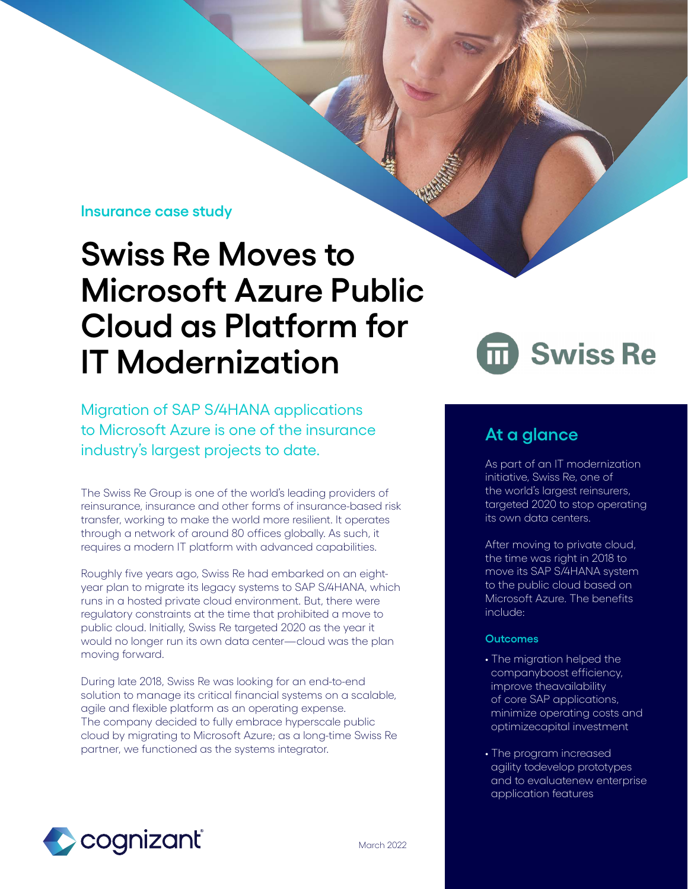# **Insurance case study**

# **Swiss Re Moves to Microsoft Azure Public Cloud as Platform for IT Modernization**

Migration of SAP S/4HANA applications to Microsoft Azure is one of the insurance industry's largest projects to date. **At a glance**

The Swiss Re Group is one of the world's leading providers of reinsurance, insurance and other forms of insurance-based risk transfer, working to make the world more resilient. It operates through a network of around 80 offices globally. As such, it requires a modern IT platform with advanced capabilities.

Roughly five years ago, Swiss Re had embarked on an eightyear plan to migrate its legacy systems to SAP S/4HANA, which runs in a hosted private cloud environment. But, there were regulatory constraints at the time that prohibited a move to public cloud. Initially, Swiss Re targeted 2020 as the year it would no longer run its own data center—cloud was the plan moving forward.

During late 2018, Swiss Re was looking for an end-to-end solution to manage its critical financial systems on a scalable, agile and flexible platform as an operating expense. The company decided to fully embrace hyperscale public cloud by migrating to Microsoft Azure; as a long-time Swiss Re partner, we functioned as the systems integrator.



As part of an IT modernization initiative, Swiss Re, one of the world's largest reinsurers, targeted 2020 to stop operating its own data centers.

After moving to private cloud, the time was right in 2018 to move its SAP S/4HANA system to the public cloud based on Microsoft Azure. The benefits include:

## **Outcomes**

- The migration helped the companyboost efficiency, improve theavailability of core SAP applications, minimize operating costs and optimizecapital investment
- The program increased agility todevelop prototypes and to evaluatenew enterprise application features

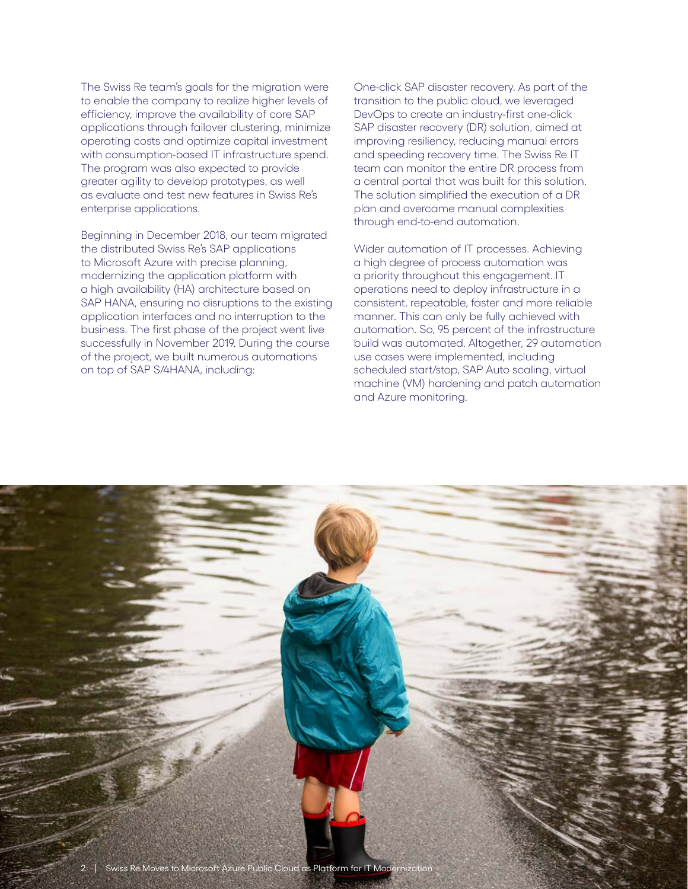The Swiss Re team's goals for the migration were to enable the company to realize higher levels of efficiency, improve the availability of core SAP applications through failover clustering, minimize operating costs and optimize capital investment with consumption-based IT infrastructure spend. The program was also expected to provide greater agility to develop prototypes, as well as evaluate and test new features in Swiss Re's enterprise applications.

Beginning in December 2018, our team migrated the distributed Swiss Re's SAP applications to Microsoft Azure with precise planning, modernizing the application platform with a high availability (HA) architecture based on SAP HANA, ensuring no disruptions to the existing application interfaces and no interruption to the business. The first phase of the project went live successfully in November 2019. During the course of the project, we built numerous automations on top of SAP S/4HANA, including:

One-click SAP disaster recovery. As part of the transition to the public cloud, we leveraged DevOps to create an industry-first one-click SAP disaster recovery (DR) solution, aimed at improving resiliency, reducing manual errors and speeding recovery time. The Swiss Re IT team can monitor the entire DR process from a central portal that was built for this solution. The solution simplified the execution of a DR plan and overcame manual complexities through end-to-end automation.

Wider automation of IT processes. Achieving a high degree of process automation was a priority throughout this engagement. IT operations need to deploy infrastructure in a consistent, repeatable, faster and more reliable manner. This can only be fully achieved with automation. So, 95 percent of the infrastructure build was automated. Altogether, 29 automation use cases were implemented, including scheduled start/stop, SAP Auto scaling, virtual machine (VM) hardening and patch automation and Azure monitoring.

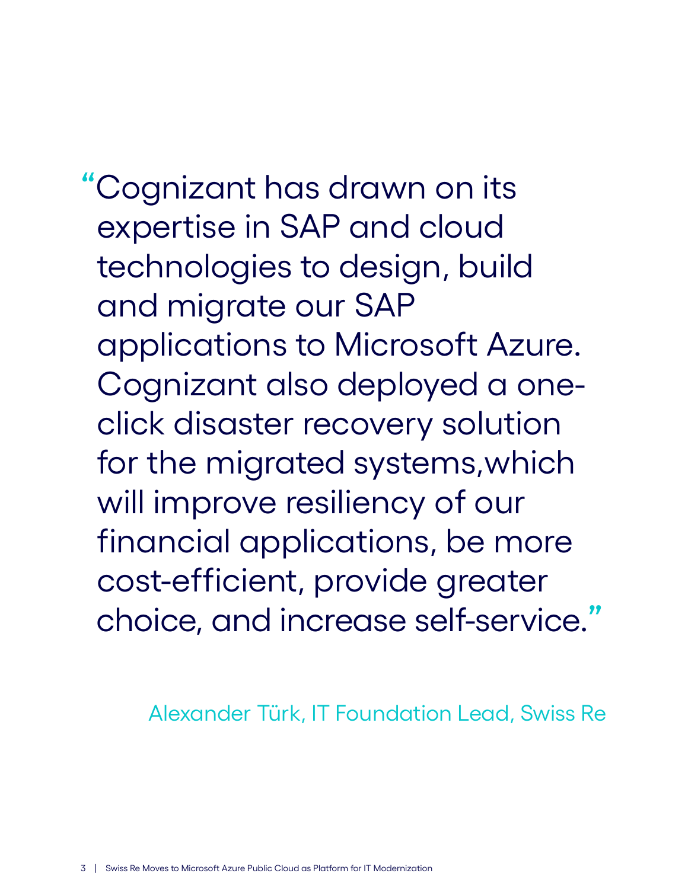**"**Cognizant has drawn on its expertise in SAP and cloud technologies to design, build and migrate our SAP applications to Microsoft Azure. Cognizant also deployed a one click disaster recovery solution for the migrated systems,which will improve resiliency of our financial applications, be more cost-efficient, provide greater choice, and increase self-service.**"**

Alexander Türk, IT Foundation Lead, Swiss Re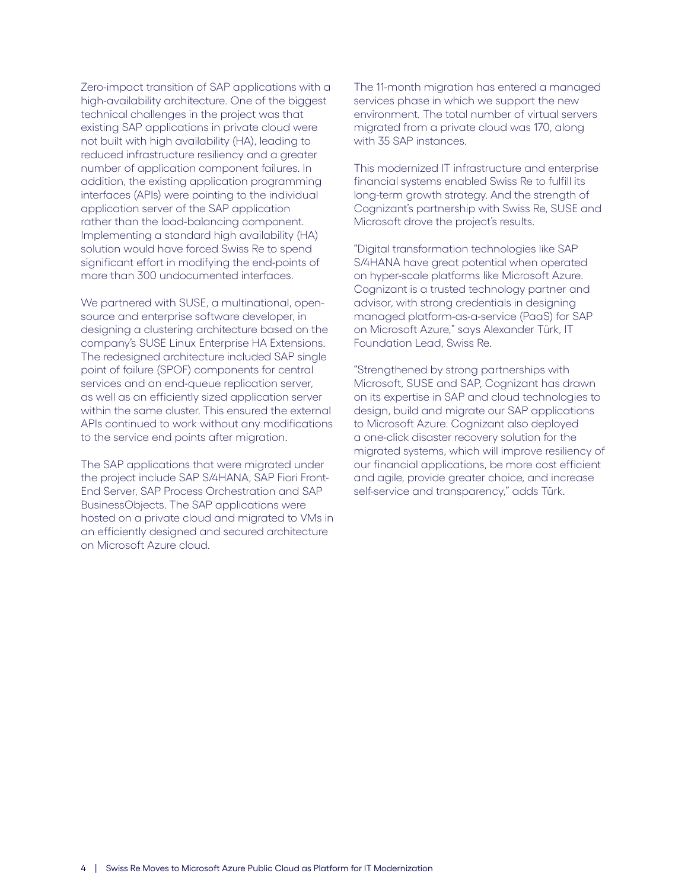Zero-impact transition of SAP applications with a high-availability architecture. One of the biggest technical challenges in the project was that existing SAP applications in private cloud were not built with high availability (HA), leading to reduced infrastructure resiliency and a greater number of application component failures. In addition, the existing application programming interfaces (APIs) were pointing to the individual application server of the SAP application rather than the load-balancing component. Implementing a standard high availability (HA) solution would have forced Swiss Re to spend significant effort in modifying the end-points of more than 300 undocumented interfaces.

We partnered with SUSE, a multinational, opensource and enterprise software developer, in designing a clustering architecture based on the company's SUSE Linux Enterprise HA Extensions. The redesigned architecture included SAP single point of failure (SPOF) components for central services and an end-queue replication server, as well as an efficiently sized application server within the same cluster. This ensured the external APIs continued to work without any modifications to the service end points after migration.

The SAP applications that were migrated under the project include SAP S/4HANA, SAP Fiori Front-End Server, SAP Process Orchestration and SAP BusinessObjects. The SAP applications were hosted on a private cloud and migrated to VMs in an efficiently designed and secured architecture on Microsoft Azure cloud.

The 11-month migration has entered a managed services phase in which we support the new environment. The total number of virtual servers migrated from a private cloud was 170, along with 35 SAP instances.

This modernized IT infrastructure and enterprise financial systems enabled Swiss Re to fulfill its long-term growth strategy. And the strength of Cognizant's partnership with Swiss Re, SUSE and Microsoft drove the project's results.

"Digital transformation technologies like SAP S/4HANA have great potential when operated on hyper-scale platforms like Microsoft Azure. Cognizant is a trusted technology partner and advisor, with strong credentials in designing managed platform-as-a-service (PaaS) for SAP on Microsoft Azure," says Alexander Türk, IT Foundation Lead, Swiss Re.

"Strengthened by strong partnerships with Microsoft, SUSE and SAP, Cognizant has drawn on its expertise in SAP and cloud technologies to design, build and migrate our SAP applications to Microsoft Azure. Cognizant also deployed a one-click disaster recovery solution for the migrated systems, which will improve resiliency of our financial applications, be more cost efficient and agile, provide greater choice, and increase self-service and transparency," adds Türk.